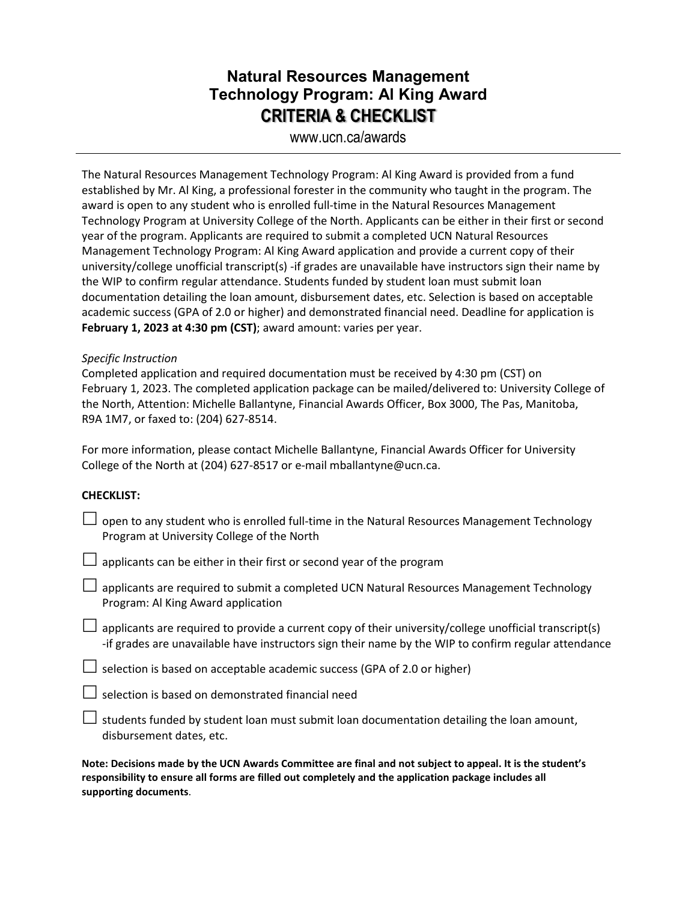## **Natural Resources Management Technology Program: Al King Award CRITERIA & CHECKLIST**

www.ucn.ca/awards

The Natural Resources Management Technology Program: Al King Award is provided from a fund established by Mr. Al King, a professional forester in the community who taught in the program. The award is open to any student who is enrolled full-time in the Natural Resources Management Technology Program at University College of the North. Applicants can be either in their first or second year of the program. Applicants are required to submit a completed UCN Natural Resources Management Technology Program: Al King Award application and provide a current copy of their university/college unofficial transcript(s) -if grades are unavailable have instructors sign their name by the WIP to confirm regular attendance. Students funded by student loan must submit loan documentation detailing the loan amount, disbursement dates, etc. Selection is based on acceptable academic success (GPA of 2.0 or higher) and demonstrated financial need. Deadline for application is **February 1, 2023 at 4:30 pm (CST)**; award amount: varies per year.

### *Specific Instruction*

Completed application and required documentation must be received by 4:30 pm (CST) on February 1, 2023. The completed application package can be mailed/delivered to: University College of the North, Attention: Michelle Ballantyne, Financial Awards Officer, Box 3000, The Pas, Manitoba, R9A 1M7, or faxed to: (204) 627-8514.

For more information, please contact Michelle Ballantyne, Financial Awards Officer for University College of the North at (204) 627-8517 or e-mail mballantyne@ucn.ca.

### **CHECKLIST:**

| open to any student who is enrolled full-time in the Natural Resources Management Technology<br>Program at University College of the North                                                                     |
|----------------------------------------------------------------------------------------------------------------------------------------------------------------------------------------------------------------|
| $\Box$ applicants can be either in their first or second year of the program                                                                                                                                   |
| applicants are required to submit a completed UCN Natural Resources Management Technology<br>Program: Al King Award application                                                                                |
| applicants are required to provide a current copy of their university/college unofficial transcript(s)<br>-if grades are unavailable have instructors sign their name by the WIP to confirm regular attendance |
| $\Box$ selection is based on acceptable academic success (GPA of 2.0 or higher)                                                                                                                                |
| $\Box$ selection is based on demonstrated financial need                                                                                                                                                       |
| $\Box$ students funded by student loan must submit loan documentation detailing the loan amount,<br>disbursement dates, etc.                                                                                   |

**Note: Decisions made by the UCN Awards Committee are final and not subject to appeal. It is the student's responsibility to ensure all forms are filled out completely and the application package includes all supporting documents**.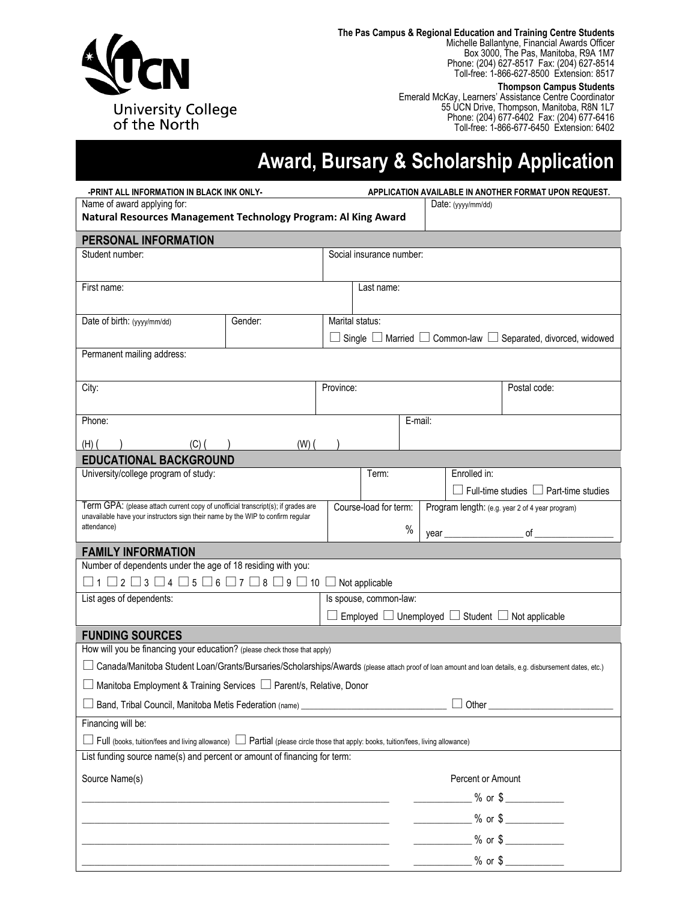

**The Pas Campus & Regional Education and Training Centre Students**

Michelle Ballantyne, Financial Awards Officer Box 3000, The Pas, Manitoba, R9A 1M7 Phone: (204) 627-8517 Fax: (204) 627-8514 Toll-free: 1-866-627-8500 Extension: 8517

**Thompson Campus Students**

Emerald McKay, Learners' Assistance Centre Coordinator 55 UCN Drive, Thompson, Manitoba, R8N 1L7 Phone: (204) 677-6402 Fax: (204) 677-6416 Toll-free: 1-866-677-6450 Extension: 6402

# **Award, Bursary & Scholarship Application**

| Name of award applying for:<br>Date: $(yyy/mm/dd)$<br>Natural Resources Management Technology Program: Al King Award<br>PERSONAL INFORMATION<br>Social insurance number:<br>Student number:<br>First name:<br>Last name:<br>Gender:<br>Marital status:<br>Date of birth: (yyyy/mm/dd)<br>Single $\Box$ Married $\Box$ Common-law $\Box$ Separated, divorced, widowed |  |  |  |  |
|----------------------------------------------------------------------------------------------------------------------------------------------------------------------------------------------------------------------------------------------------------------------------------------------------------------------------------------------------------------------|--|--|--|--|
|                                                                                                                                                                                                                                                                                                                                                                      |  |  |  |  |
|                                                                                                                                                                                                                                                                                                                                                                      |  |  |  |  |
|                                                                                                                                                                                                                                                                                                                                                                      |  |  |  |  |
|                                                                                                                                                                                                                                                                                                                                                                      |  |  |  |  |
|                                                                                                                                                                                                                                                                                                                                                                      |  |  |  |  |
|                                                                                                                                                                                                                                                                                                                                                                      |  |  |  |  |
|                                                                                                                                                                                                                                                                                                                                                                      |  |  |  |  |
|                                                                                                                                                                                                                                                                                                                                                                      |  |  |  |  |
|                                                                                                                                                                                                                                                                                                                                                                      |  |  |  |  |
| Permanent mailing address:                                                                                                                                                                                                                                                                                                                                           |  |  |  |  |
|                                                                                                                                                                                                                                                                                                                                                                      |  |  |  |  |
| City:<br>Province:<br>Postal code:                                                                                                                                                                                                                                                                                                                                   |  |  |  |  |
|                                                                                                                                                                                                                                                                                                                                                                      |  |  |  |  |
| Phone:<br>E-mail:                                                                                                                                                                                                                                                                                                                                                    |  |  |  |  |
| $(W)$ $($<br>$(H)$ (<br>(C) (                                                                                                                                                                                                                                                                                                                                        |  |  |  |  |
| <b>EDUCATIONAL BACKGROUND</b>                                                                                                                                                                                                                                                                                                                                        |  |  |  |  |
| University/college program of study:<br>Term:<br>Enrolled in:                                                                                                                                                                                                                                                                                                        |  |  |  |  |
| Full-time studies $\Box$ Part-time studies                                                                                                                                                                                                                                                                                                                           |  |  |  |  |
| Term GPA: (please attach current copy of unofficial transcript(s); if grades are<br>Course-load for term:<br>Program length: (e.g. year 2 of 4 year program)<br>unavailable have your instructors sign their name by the WIP to confirm regular                                                                                                                      |  |  |  |  |
| attendance)<br>%<br>$\circ$ f<br>year                                                                                                                                                                                                                                                                                                                                |  |  |  |  |
| <b>FAMILY INFORMATION</b>                                                                                                                                                                                                                                                                                                                                            |  |  |  |  |
| Number of dependents under the age of 18 residing with you:                                                                                                                                                                                                                                                                                                          |  |  |  |  |
| $\Box$ 1 $\Box$ 2 $\Box$ 3 $\Box$ 4 $\Box$ 5 $\Box$ 6 $\Box$ 7 $\Box$ 8 $\Box$ 9 $\Box$ 10 $\Box$ Not applicable                                                                                                                                                                                                                                                     |  |  |  |  |
| Is spouse, common-law:<br>List ages of dependents:                                                                                                                                                                                                                                                                                                                   |  |  |  |  |
| $\Box$ Employed $\Box$ Unemployed $\Box$ Student $\Box$ Not applicable                                                                                                                                                                                                                                                                                               |  |  |  |  |
| <b>FUNDING SOURCES</b>                                                                                                                                                                                                                                                                                                                                               |  |  |  |  |
| How will you be financing your education? (please check those that apply)                                                                                                                                                                                                                                                                                            |  |  |  |  |
| Canada/Manitoba Student Loan/Grants/Bursaries/Scholarships/Awards (please attach proof of loan amount and loan details, e.g. disbursement dates, etc.)                                                                                                                                                                                                               |  |  |  |  |
| Manitoba Employment & Training Services □ Parent/s, Relative, Donor                                                                                                                                                                                                                                                                                                  |  |  |  |  |
| Band, Tribal Council, Manitoba Metis Federation (name) _________________________                                                                                                                                                                                                                                                                                     |  |  |  |  |
| Financing will be:                                                                                                                                                                                                                                                                                                                                                   |  |  |  |  |
| Full (books, tuition/fees and living allowance)<br>Dartial (please circle those that apply: books, tuition/fees, living allowance)                                                                                                                                                                                                                                   |  |  |  |  |
| List funding source name(s) and percent or amount of financing for term:                                                                                                                                                                                                                                                                                             |  |  |  |  |
| Source Name(s)<br>Percent or Amount                                                                                                                                                                                                                                                                                                                                  |  |  |  |  |
| _____________% or \$ _____________                                                                                                                                                                                                                                                                                                                                   |  |  |  |  |
| $\frac{1}{2}$ % or \$                                                                                                                                                                                                                                                                                                                                                |  |  |  |  |
| $\frac{1}{20}$ % or \$                                                                                                                                                                                                                                                                                                                                               |  |  |  |  |
|                                                                                                                                                                                                                                                                                                                                                                      |  |  |  |  |